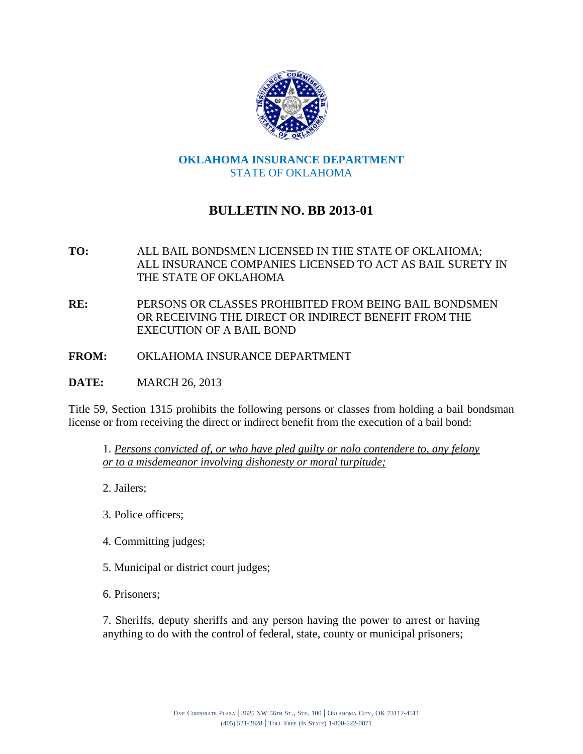

## **OKLAHOMA INSURANCE DEPARTMENT**  STATE OF OKLAHOMA

## **BULLETIN NO. BB 2013-01**

- **TO:** ALL BAIL BONDSMEN LICENSED IN THE STATE OF OKLAHOMA; ALL INSURANCE COMPANIES LICENSED TO ACT AS BAIL SURETY IN THE STATE OF OKLAHOMA
- **RE:** PERSONS OR CLASSES PROHIBITED FROM BEING BAIL BONDSMEN OR RECEIVING THE DIRECT OR INDIRECT BENEFIT FROM THE EXECUTION OF A BAIL BOND
- **FROM:** OKLAHOMA INSURANCE DEPARTMENT

**DATE:** MARCH 26, 2013

Title 59, Section 1315 prohibits the following persons or classes from holding a bail bondsman license or from receiving the direct or indirect benefit from the execution of a bail bond:

1. *Persons convicted of, or who have pled guilty or nolo contendere to, any felony or to a misdemeanor involving dishonesty or moral turpitude;*

2. Jailers;

- 3. Police officers;
- 4. Committing judges;
- 5. Municipal or district court judges;
- 6. Prisoners;

7. Sheriffs, deputy sheriffs and any person having the power to arrest or having anything to do with the control of federal, state, county or municipal prisoners;